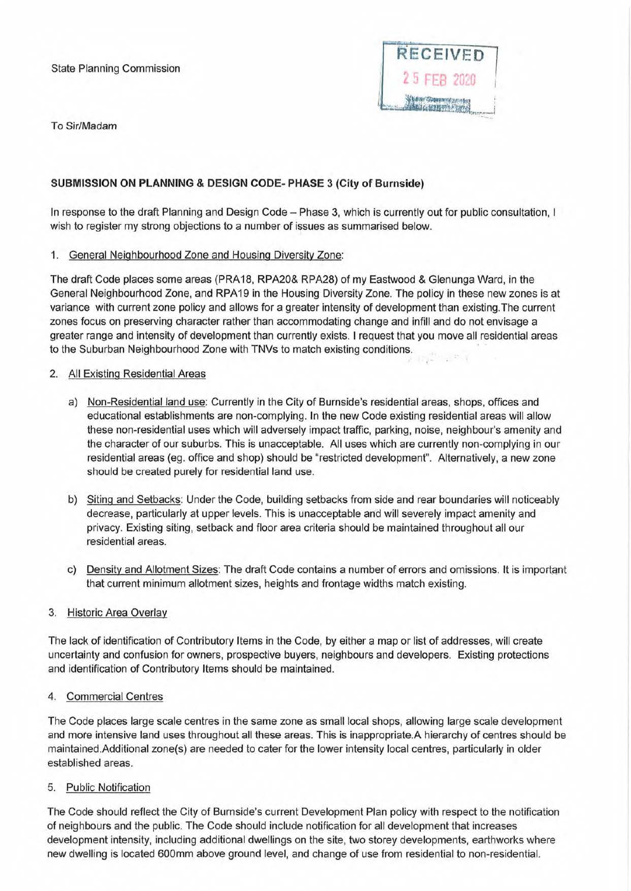### State Planning Commission



To Sir/Madam

# **SUBMISSION ON PLANNING & DESIGN CODE- PHASE 3 (City of Burnside)**

In response to the draft Planning and Design Code - Phase 3, which is currently out for public consultation, I wish to register my strong objections to a number of issues as summarised below.

### 1. General Neighbourhood Zone and Housing Diversity Zone:

The draft Code places some areas (PRA18, RPA20& RPA28) of my Eastwood & Glenunga Ward, in the General Neighbourhood Zone, and RPA19 in the Housing Diversity Zone. The policy in these new zones is at variance with current zone policy and allows for a greater intensity of development than existing.The current zones focus on preserving character rather than accommodating change and infill and do not envisage a greater range and intensity of development than currently exists. I request that you move all residential areas to the Suburban Neighbourhood Zone with TNVs to match existing conditions.

#### 2. All Existing Residential Areas

- a) Non-Residential land use: Currently in the City of Burnside's residential areas, shops, offices and educational establishments are non-complying. In the new Code existing residential areas will allow these non-residential uses which will adversely impact traffic, parking, noise, neighbour's amenity and the character of our suburbs. This is unacceptable. All uses which are currently non-complying in our residential areas (eg. office and shop) should be "restricted development". Alternatively, a new zone should be created purely for residential land use.
- b) Siting and Setbacks: Under the Code, building setbacks from side and rear boundaries will noticeably decrease, particularly at upper levels. This is unacceptable and will severely impact amenity and privacy. Existing siting, setback and floor area criteria should be maintained throughout all our residential areas.
- c) Density and Allotment Sizes: The draft Code contains a number of errors and omissions. It is important that current minimum allotment sizes, heights and frontage widths match existing.

### 3. Historic Area Overlay

The lack of identification of Contributory Items in the Code, by either a map or list of addresses, will create uncertainty and confusion for owners, prospective buyers, neighbours and developers. Existing protections and identification of Contributory Items should be maintained.

### 4. Commercial Centres

The Code places large scale centres in the same zone as small local shops, allowing large scale development and *mote* intensive land uses throughout all these areas. This is inappropriate.A hierarchy of centres should be maintained.Additional zone(s) are needed to cater for the lower intensity local centres, particularly in older established areas.

### 5. Public Notification

The Code should reflect the City of Burnside's current Development Plan policy with respect to the notification of neighbours and the public. The Code should include notification for all development that increases development intensity, including additional dwellings on the site, two storey developments, earthworks where new dwelling is located 600mm above ground level, and change of use from residential to non-residential.